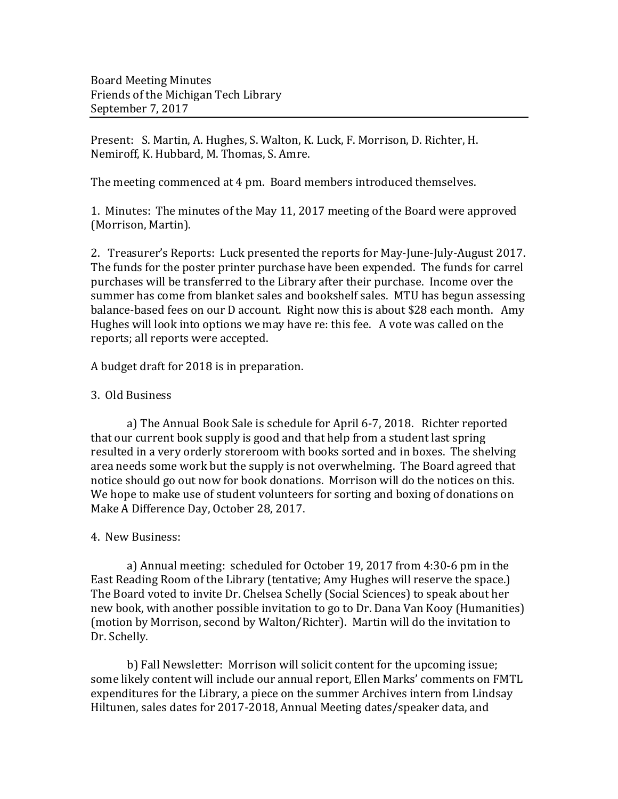Present: S. Martin, A. Hughes, S. Walton, K. Luck, F. Morrison, D. Richter, H. Nemiroff, K. Hubbard, M. Thomas, S. Amre.

The meeting commenced at 4 pm. Board members introduced themselves.

1. Minutes: The minutes of the May 11, 2017 meeting of the Board were approved (Morrison, Martin).

2. Treasurer's Reports: Luck presented the reports for May-June-July-August 2017. The funds for the poster printer purchase have been expended. The funds for carrel purchases will be transferred to the Library after their purchase. Income over the summer has come from blanket sales and bookshelf sales. MTU has begun assessing balance-based fees on our D account. Right now this is about \$28 each month. Amy Hughes will look into options we may have re: this fee. A vote was called on the reports; all reports were accepted.

A budget draft for 2018 is in preparation.

## 3. Old Business

a) The Annual Book Sale is schedule for April 6-7, 2018. Richter reported that our current book supply is good and that help from a student last spring resulted in a very orderly storeroom with books sorted and in boxes. The shelving area needs some work but the supply is not overwhelming. The Board agreed that notice should go out now for book donations. Morrison will do the notices on this. We hope to make use of student volunteers for sorting and boxing of donations on Make A Difference Day, October 28, 2017.

## 4. New Business:

a) Annual meeting: scheduled for October 19, 2017 from 4:30-6 pm in the East Reading Room of the Library (tentative; Amy Hughes will reserve the space.) The Board voted to invite Dr. Chelsea Schelly (Social Sciences) to speak about her new book, with another possible invitation to go to Dr. Dana Van Kooy (Humanities) (motion by Morrison, second by Walton/Richter). Martin will do the invitation to Dr. Schelly.

b) Fall Newsletter: Morrison will solicit content for the upcoming issue; some likely content will include our annual report, Ellen Marks' comments on FMTL expenditures for the Library, a piece on the summer Archives intern from Lindsay Hiltunen, sales dates for 2017-2018, Annual Meeting dates/speaker data, and